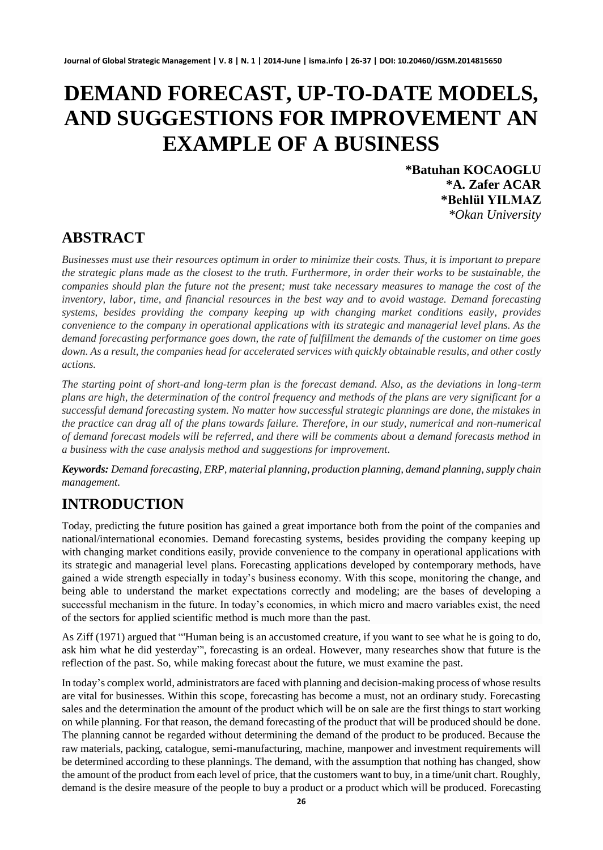# **DEMAND FORECAST, UP-TO-DATE MODELS, AND SUGGESTIONS FOR IMPROVEMENT AN EXAMPLE OF A BUSINESS**

**\*Batuhan KOCAOGLU \*A. Zafer ACAR \*Behlül YILMAZ** *\*Okan University*

### **ABSTRACT**

*Businesses must use their resources optimum in order to minimize their costs. Thus, it is important to prepare the strategic plans made as the closest to the truth. Furthermore, in order their works to be sustainable, the companies should plan the future not the present; must take necessary measures to manage the cost of the inventory, labor, time, and financial resources in the best way and to avoid wastage. Demand forecasting systems, besides providing the company keeping up with changing market conditions easily, provides convenience to the company in operational applications with its strategic and managerial level plans. As the demand forecasting performance goes down, the rate of fulfillment the demands of the customer on time goes down. As a result, the companies head for accelerated services with quickly obtainable results, and other costly actions.*

*The starting point of short-and long-term plan is the forecast demand. Also, as the deviations in long-term plans are high, the determination of the control frequency and methods of the plans are very significant for a successful demand forecasting system. No matter how successful strategic plannings are done, the mistakes in the practice can drag all of the plans towards failure. Therefore, in our study, numerical and non-numerical of demand forecast models will be referred, and there will be comments about a demand forecasts method in a business with the case analysis method and suggestions for improvement.*

*Keywords: Demand forecasting, ERP, material planning, production planning, demand planning, supply chain management.*

## **INTRODUCTION**

Today, predicting the future position has gained a great importance both from the point of the companies and national/international economies. Demand forecasting systems, besides providing the company keeping up with changing market conditions easily, provide convenience to the company in operational applications with its strategic and managerial level plans. Forecasting applications developed by contemporary methods, have gained a wide strength especially in today's business economy. With this scope, monitoring the change, and being able to understand the market expectations correctly and modeling; are the bases of developing a successful mechanism in the future. In today's economies, in which micro and macro variables exist, the need of the sectors for applied scientific method is much more than the past.

As Ziff (1971) argued that "'Human being is an accustomed creature, if you want to see what he is going to do, ask him what he did yesterday"', forecasting is an ordeal. However, many researches show that future is the reflection of the past. So, while making forecast about the future, we must examine the past.

In today's complex world, administrators are faced with planning and decision-making process of whose results are vital for businesses. Within this scope, forecasting has become a must, not an ordinary study. Forecasting sales and the determination the amount of the product which will be on sale are the first things to start working on while planning. For that reason, the demand forecasting of the product that will be produced should be done. The planning cannot be regarded without determining the demand of the product to be produced. Because the raw materials, packing, catalogue, semi-manufacturing, machine, manpower and investment requirements will be determined according to these plannings. The demand, with the assumption that nothing has changed, show the amount of the product from each level of price, that the customers want to buy, in a time/unit chart. Roughly, demand is the desire measure of the people to buy a product or a product which will be produced. Forecasting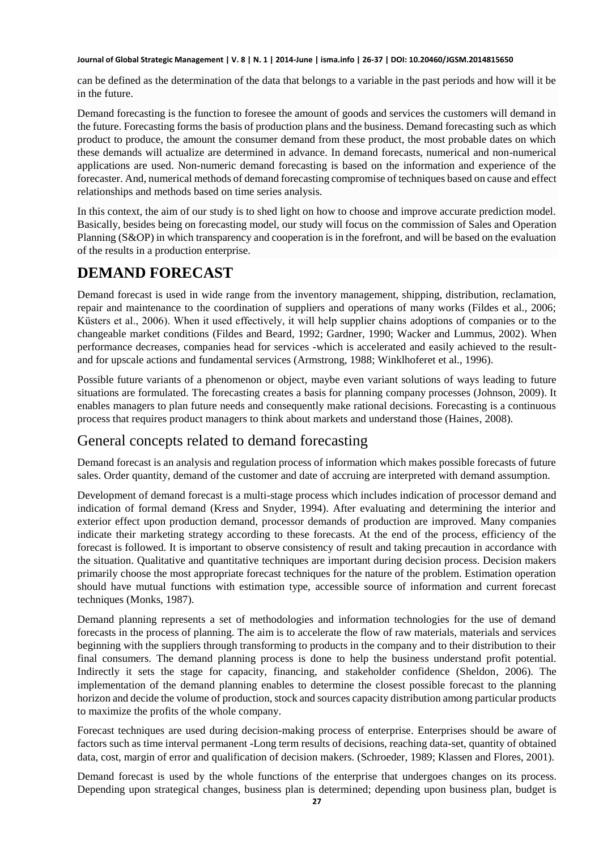can be defined as the determination of the data that belongs to a variable in the past periods and how will it be in the future.

Demand forecasting is the function to foresee the amount of goods and services the customers will demand in the future. Forecasting forms the basis of production plans and the business. Demand forecasting such as which product to produce, the amount the consumer demand from these product, the most probable dates on which these demands will actualize are determined in advance. In demand forecasts, numerical and non-numerical applications are used. Non-numeric demand forecasting is based on the information and experience of the forecaster. And, numerical methods of demand forecasting compromise of techniques based on cause and effect relationships and methods based on time series analysis.

In this context, the aim of our study is to shed light on how to choose and improve accurate prediction model. Basically, besides being on forecasting model, our study will focus on the commission of Sales and Operation Planning (S&OP) in which transparency and cooperation is in the forefront, and will be based on the evaluation of the results in a production enterprise.

## **DEMAND FORECAST**

Demand forecast is used in wide range from the inventory management, shipping, distribution, reclamation, repair and maintenance to the coordination of suppliers and operations of many works (Fildes et al., 2006; Küsters et al., 2006). When it used effectively, it will help supplier chains adoptions of companies or to the changeable market conditions (Fildes and Beard, 1992; Gardner, 1990; Wacker and Lummus, 2002). When performance decreases, companies head for services -which is accelerated and easily achieved to the resultand for upscale actions and fundamental services (Armstrong, 1988; Winklhoferet et al., 1996).

Possible future variants of a phenomenon or object, maybe even variant solutions of ways leading to future situations are formulated. The forecasting creates a basis for planning company processes (Johnson, 2009). It enables managers to plan future needs and consequently make rational decisions. Forecasting is a continuous process that requires product managers to think about markets and understand those (Haines, 2008).

### General concepts related to demand forecasting

Demand forecast is an analysis and regulation process of information which makes possible forecasts of future sales. Order quantity, demand of the customer and date of accruing are interpreted with demand assumption.

Development of demand forecast is a multi-stage process which includes indication of processor demand and indication of formal demand (Kress and Snyder, 1994). After evaluating and determining the interior and exterior effect upon production demand, processor demands of production are improved. Many companies indicate their marketing strategy according to these forecasts. At the end of the process, efficiency of the forecast is followed. It is important to observe consistency of result and taking precaution in accordance with the situation. Qualitative and quantitative techniques are important during decision process. Decision makers primarily choose the most appropriate forecast techniques for the nature of the problem. Estimation operation should have mutual functions with estimation type, accessible source of information and current forecast techniques (Monks, 1987).

Demand planning represents a set of methodologies and information technologies for the use of demand forecasts in the process of planning. The aim is to accelerate the flow of raw materials, materials and services beginning with the suppliers through transforming to products in the company and to their distribution to their final consumers. The demand planning process is done to help the business understand profit potential. Indirectly it sets the stage for capacity, financing, and stakeholder confidence (Sheldon, 2006). The implementation of the demand planning enables to determine the closest possible forecast to the planning horizon and decide the volume of production, stock and sources capacity distribution among particular products to maximize the profits of the whole company.

Forecast techniques are used during decision-making process of enterprise. Enterprises should be aware of factors such as time interval permanent -Long term results of decisions, reaching data-set, quantity of obtained data, cost, margin of error and qualification of decision makers. (Schroeder, 1989; Klassen and Flores, 2001).

Demand forecast is used by the whole functions of the enterprise that undergoes changes on its process. Depending upon strategical changes, business plan is determined; depending upon business plan, budget is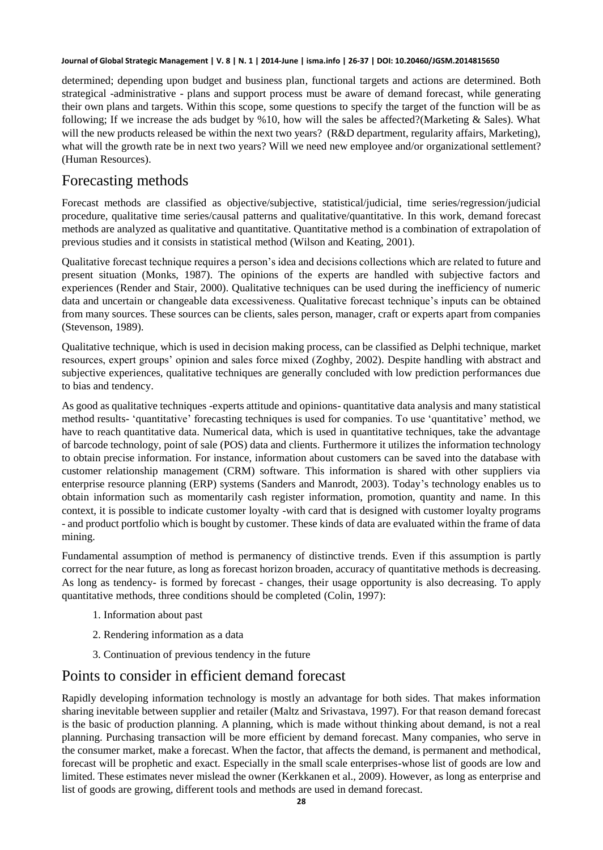determined; depending upon budget and business plan, functional targets and actions are determined. Both strategical -administrative - plans and support process must be aware of demand forecast, while generating their own plans and targets. Within this scope, some questions to specify the target of the function will be as following; If we increase the ads budget by %10, how will the sales be affected?(Marketing & Sales). What will the new products released be within the next two years? (R&D department, regularity affairs, Marketing), what will the growth rate be in next two years? Will we need new employee and/or organizational settlement? (Human Resources).

### Forecasting methods

Forecast methods are classified as objective/subjective, statistical/judicial, time series/regression/judicial procedure, qualitative time series/causal patterns and qualitative/quantitative. In this work, demand forecast methods are analyzed as qualitative and quantitative. Quantitative method is a combination of extrapolation of previous studies and it consists in statistical method (Wilson and Keating, 2001).

Qualitative forecast technique requires a person's idea and decisions collections which are related to future and present situation (Monks, 1987). The opinions of the experts are handled with subjective factors and experiences (Render and Stair, 2000). Qualitative techniques can be used during the inefficiency of numeric data and uncertain or changeable data excessiveness. Qualitative forecast technique's inputs can be obtained from many sources. These sources can be clients, sales person, manager, craft or experts apart from companies (Stevenson, 1989).

Qualitative technique, which is used in decision making process, can be classified as Delphi technique, market resources, expert groups' opinion and sales force mixed (Zoghby, 2002). Despite handling with abstract and subjective experiences, qualitative techniques are generally concluded with low prediction performances due to bias and tendency.

As good as qualitative techniques -experts attitude and opinions- quantitative data analysis and many statistical method results- 'quantitative' forecasting techniques is used for companies. To use 'quantitative' method, we have to reach quantitative data. Numerical data, which is used in quantitative techniques, take the advantage of barcode technology, point of sale (POS) data and clients. Furthermore it utilizes the information technology to obtain precise information. For instance, information about customers can be saved into the database with customer relationship management (CRM) software. This information is shared with other suppliers via enterprise resource planning (ERP) systems (Sanders and Manrodt, 2003). Today's technology enables us to obtain information such as momentarily cash register information, promotion, quantity and name. In this context, it is possible to indicate customer loyalty -with card that is designed with customer loyalty programs - and product portfolio which is bought by customer. These kinds of data are evaluated within the frame of data mining.

Fundamental assumption of method is permanency of distinctive trends. Even if this assumption is partly correct for the near future, as long as forecast horizon broaden, accuracy of quantitative methods is decreasing. As long as tendency- is formed by forecast - changes, their usage opportunity is also decreasing. To apply quantitative methods, three conditions should be completed (Colin, 1997):

- 1. Information about past
- 2. Rendering information as a data
- 3. Continuation of previous tendency in the future

### Points to consider in efficient demand forecast

Rapidly developing information technology is mostly an advantage for both sides. That makes information sharing inevitable between supplier and retailer (Maltz and Srivastava, 1997). For that reason demand forecast is the basic of production planning. A planning, which is made without thinking about demand, is not a real planning. Purchasing transaction will be more efficient by demand forecast. Many companies, who serve in the consumer market, make a forecast. When the factor, that affects the demand, is permanent and methodical, forecast will be prophetic and exact. Especially in the small scale enterprises-whose list of goods are low and limited. These estimates never mislead the owner (Kerkkanen et al., 2009). However, as long as enterprise and list of goods are growing, different tools and methods are used in demand forecast.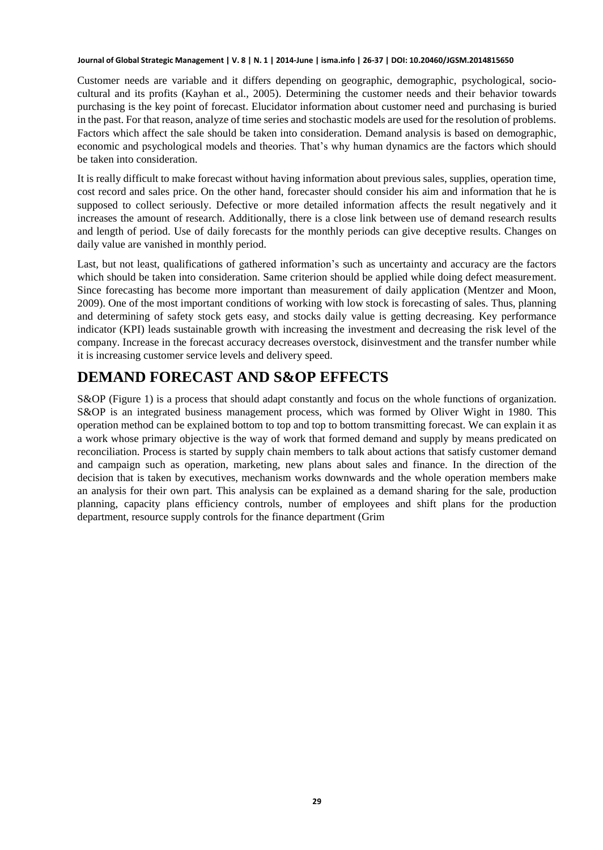Customer needs are variable and it differs depending on geographic, demographic, psychological, sociocultural and its profits (Kayhan et al., 2005). Determining the customer needs and their behavior towards purchasing is the key point of forecast. Elucidator information about customer need and purchasing is buried in the past. For that reason, analyze of time series and stochastic models are used for the resolution of problems. Factors which affect the sale should be taken into consideration. Demand analysis is based on demographic, economic and psychological models and theories. That's why human dynamics are the factors which should be taken into consideration.

It is really difficult to make forecast without having information about previous sales, supplies, operation time, cost record and sales price. On the other hand, forecaster should consider his aim and information that he is supposed to collect seriously. Defective or more detailed information affects the result negatively and it increases the amount of research. Additionally, there is a close link between use of demand research results and length of period. Use of daily forecasts for the monthly periods can give deceptive results. Changes on daily value are vanished in monthly period.

Last, but not least, qualifications of gathered information's such as uncertainty and accuracy are the factors which should be taken into consideration. Same criterion should be applied while doing defect measurement. Since forecasting has become more important than measurement of daily application (Mentzer and Moon, 2009). One of the most important conditions of working with low stock is forecasting of sales. Thus, planning and determining of safety stock gets easy, and stocks daily value is getting decreasing. Key performance indicator (KPI) leads sustainable growth with increasing the investment and decreasing the risk level of the company. Increase in the forecast accuracy decreases overstock, disinvestment and the transfer number while it is increasing customer service levels and delivery speed.

## **DEMAND FORECAST AND S&OP EFFECTS**

S&OP (Figure 1) is a process that should adapt constantly and focus on the whole functions of organization. S&OP is an integrated business management process, which was formed by Oliver Wight in 1980. This operation method can be explained bottom to top and top to bottom transmitting forecast. We can explain it as a work whose primary objective is the way of work that formed demand and supply by means predicated on reconciliation. Process is started by supply chain members to talk about actions that satisfy customer demand and campaign such as operation, marketing, new plans about sales and finance. In the direction of the decision that is taken by executives, mechanism works downwards and the whole operation members make an analysis for their own part. This analysis can be explained as a demand sharing for the sale, production planning, capacity plans efficiency controls, number of employees and shift plans for the production department, resource supply controls for the finance department (Grim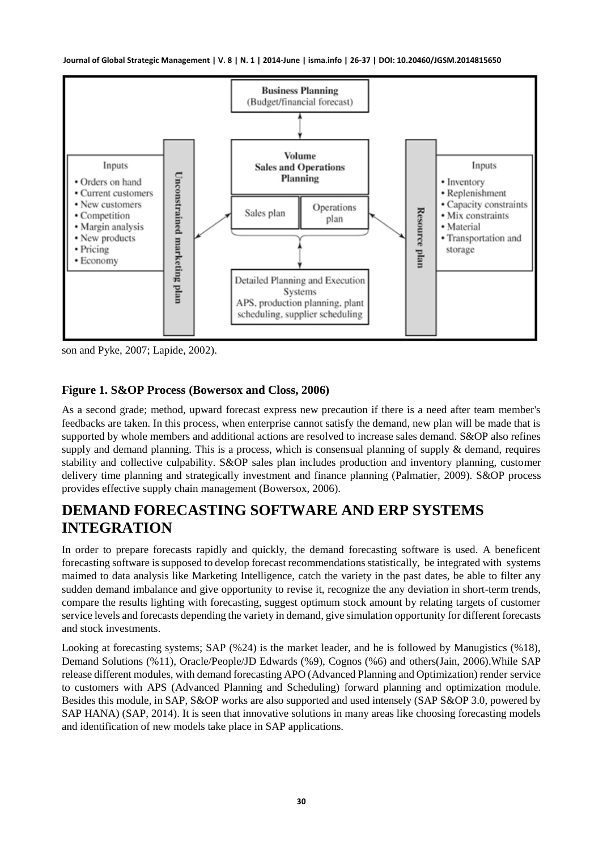

son and Pyke, 2007; Lapide, 2002).

### **Figure 1. S&OP Process (Bowersox and Closs, 2006)**

As a second grade; method, upward forecast express new precaution if there is a need after team member's feedbacks are taken. In this process, when enterprise cannot satisfy the demand, new plan will be made that is supported by whole members and additional actions are resolved to increase sales demand. S&OP also refines supply and demand planning. This is a process, which is consensual planning of supply & demand, requires stability and collective culpability. S&OP sales plan includes production and inventory planning, customer delivery time planning and strategically investment and finance planning (Palmatier, 2009). S&OP process provides effective supply chain management (Bowersox, 2006).

### **DEMAND FORECASTING SOFTWARE AND ERP SYSTEMS INTEGRATION**

In order to prepare forecasts rapidly and quickly, the demand forecasting software is used. A beneficent forecasting software is supposed to develop forecast recommendations statistically, be integrated with systems maimed to data analysis like Marketing Intelligence, catch the variety in the past dates, be able to filter any sudden demand imbalance and give opportunity to revise it, recognize the any deviation in short-term trends, compare the results lighting with forecasting, suggest optimum stock amount by relating targets of customer service levels and forecasts depending the variety in demand, give simulation opportunity for different forecasts and stock investments.

Looking at forecasting systems; SAP (%24) is the market leader, and he is followed by Manugistics (%18), Demand Solutions (%11), Oracle/People/JD Edwards (%9), Cognos (%6) and others(Jain, 2006).While SAP release different modules, with demand forecasting APO (Advanced Planning and Optimization) render service to customers with APS (Advanced Planning and Scheduling) forward planning and optimization module. Besides this module, in SAP, S&OP works are also supported and used intensely (SAP S&OP 3.0, powered by SAP HANA) (SAP, 2014). It is seen that innovative solutions in many areas like choosing forecasting models and identification of new models take place in SAP applications.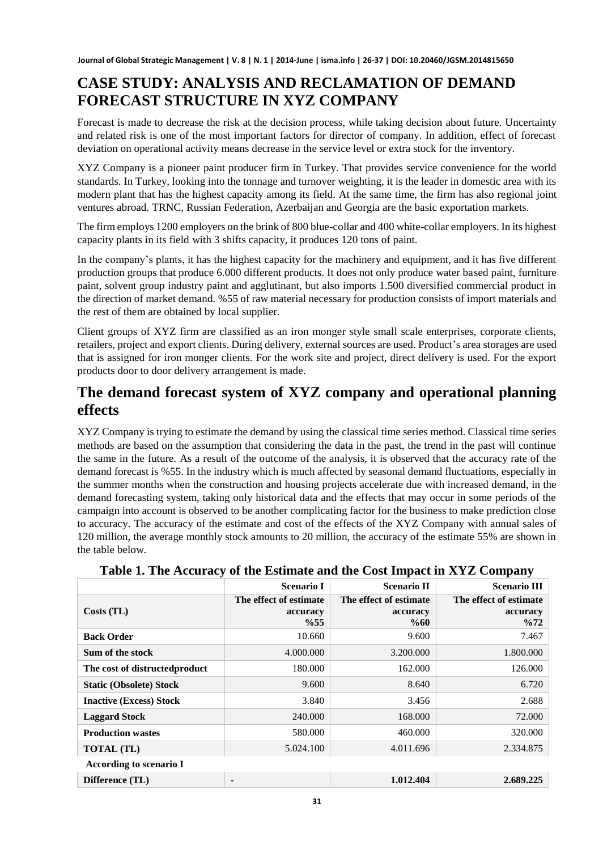## **CASE STUDY: ANALYSIS AND RECLAMATION OF DEMAND FORECAST STRUCTURE IN XYZ COMPANY**

Forecast is made to decrease the risk at the decision process, while taking decision about future. Uncertainty and related risk is one of the most important factors for director of company. In addition, effect of forecast deviation on operational activity means decrease in the service level or extra stock for the inventory.

XYZ Company is a pioneer paint producer firm in Turkey. That provides service convenience for the world standards. In Turkey, looking into the tonnage and turnover weighting, it is the leader in domestic area with its modern plant that has the highest capacity among its field. At the same time, the firm has also regional joint ventures abroad. TRNC, Russian Federation, Azerbaijan and Georgia are the basic exportation markets.

The firm employs 1200 employers on the brink of 800 blue-collar and 400 white-collar employers. In its highest capacity plants in its field with 3 shifts capacity, it produces 120 tons of paint.

In the company's plants, it has the highest capacity for the machinery and equipment, and it has five different production groups that produce 6.000 different products. It does not only produce water based paint, furniture paint, solvent group industry paint and agglutinant, but also imports 1.500 diversified commercial product in the direction of market demand. %55 of raw material necessary for production consists of import materials and the rest of them are obtained by local supplier.

Client groups of XYZ firm are classified as an iron monger style small scale enterprises, corporate clients, retailers, project and export clients. During delivery, external sources are used. Product's area storages are used that is assigned for iron monger clients. For the work site and project, direct delivery is used. For the export products door to door delivery arrangement is made.

### **The demand forecast system of XYZ company and operational planning effects**

XYZ Company is trying to estimate the demand by using the classical time series method. Classical time series methods are based on the assumption that considering the data in the past, the trend in the past will continue the same in the future. As a result of the outcome of the analysis, it is observed that the accuracy rate of the demand forecast is %55. In the industry which is much affected by seasonal demand fluctuations, especially in the summer months when the construction and housing projects accelerate due with increased demand, in the demand forecasting system, taking only historical data and the effects that may occur in some periods of the campaign into account is observed to be another complicating factor for the business to make prediction close to accuracy. The accuracy of the estimate and cost of the effects of the XYZ Company with annual sales of 120 million, the average monthly stock amounts to 20 million, the accuracy of the estimate 55% are shown in the table below.

|                                | <b>Scenario I</b>                         | <b>Scenario II</b>                           | <b>Scenario III</b>                                   |
|--------------------------------|-------------------------------------------|----------------------------------------------|-------------------------------------------------------|
| Costs (TL)                     | The effect of estimate<br>accuracy<br>%55 | The effect of estimate<br>accuracy<br>$\%60$ | The effect of estimate<br>accuracy<br>$\frac{9}{672}$ |
| <b>Back Order</b>              | 10.660                                    | 9.600                                        | 7.467                                                 |
| Sum of the stock               | 4.000.000                                 | 3.200.000                                    | 1.800.000                                             |
| The cost of distructed product | 180.000                                   | 162.000                                      | 126.000                                               |
| <b>Static (Obsolete) Stock</b> | 9.600                                     | 8.640                                        | 6.720                                                 |
| <b>Inactive (Excess) Stock</b> | 3.840                                     | 3.456                                        | 2.688                                                 |
| <b>Laggard Stock</b>           | 240.000                                   | 168.000                                      | 72.000                                                |
| <b>Production wastes</b>       | 580.000                                   | 460.000                                      | 320.000                                               |
| <b>TOTAL</b> (TL)              | 5.024.100                                 | 4.011.696                                    | 2.334.875                                             |
| According to scenario I        |                                           |                                              |                                                       |
| Difference (TL)                | $\blacksquare$                            | 1.012.404                                    | 2.689.225                                             |

**Table 1. The Accuracy of the Estimate and the Cost Impact in XYZ Company**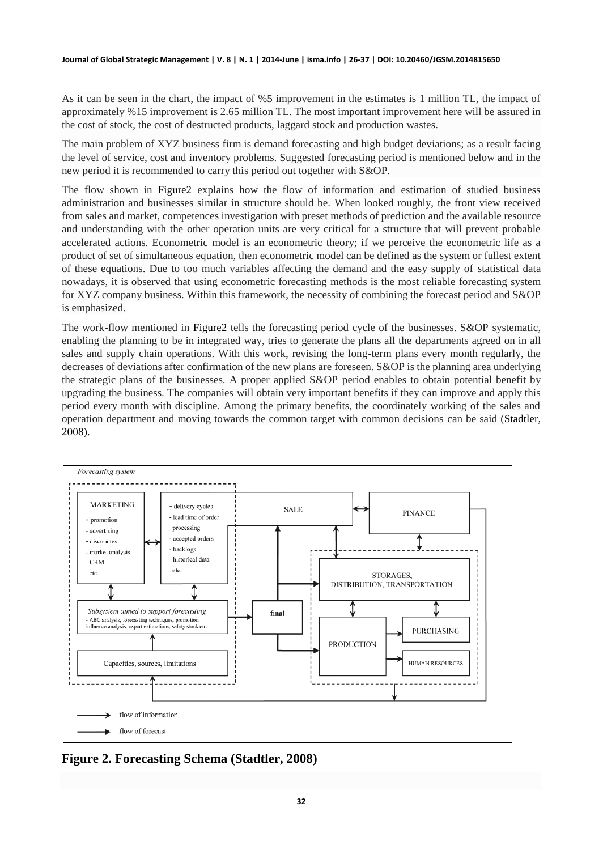As it can be seen in the chart, the impact of %5 improvement in the estimates is 1 million TL, the impact of approximately %15 improvement is 2.65 million TL. The most important improvement here will be assured in the cost of stock, the cost of destructed products, laggard stock and production wastes.

The main problem of XYZ business firm is demand forecasting and high budget deviations; as a result facing the level of service, cost and inventory problems. Suggested forecasting period is mentioned below and in the new period it is recommended to carry this period out together with S&OP.

The flow shown in Figure2 explains how the flow of information and estimation of studied business administration and businesses similar in structure should be. When looked roughly, the front view received from sales and market, competences investigation with preset methods of prediction and the available resource and understanding with the other operation units are very critical for a structure that will prevent probable accelerated actions. Econometric model is an econometric theory; if we perceive the econometric life as a product of set of simultaneous equation, then econometric model can be defined as the system or fullest extent of these equations. Due to too much variables affecting the demand and the easy supply of statistical data nowadays, it is observed that using econometric forecasting methods is the most reliable forecasting system for XYZ company business. Within this framework, the necessity of combining the forecast period and S&OP is emphasized.

The work-flow mentioned in Figure2 tells the forecasting period cycle of the businesses. S&OP systematic, enabling the planning to be in integrated way, tries to generate the plans all the departments agreed on in all sales and supply chain operations. With this work, revising the long-term plans every month regularly, the decreases of deviations after confirmation of the new plans are foreseen. S&OP is the planning area underlying the strategic plans of the businesses. A proper applied S&OP period enables to obtain potential benefit by upgrading the business. The companies will obtain very important benefits if they can improve and apply this period every month with discipline. Among the primary benefits, the coordinately working of the sales and operation department and moving towards the common target with common decisions can be said (Stadtler, 2008).



**Figure 2. Forecasting Schema (Stadtler, 2008)**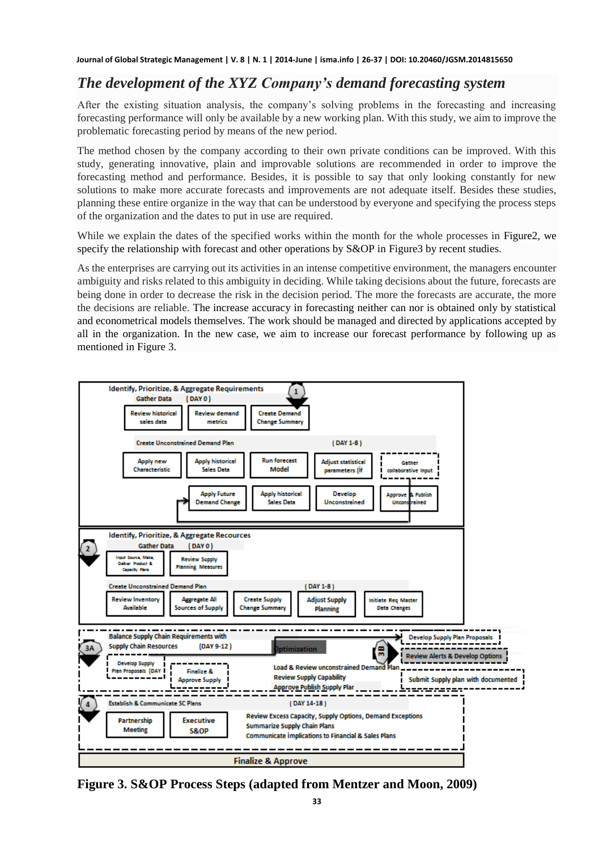### *The development of the XYZ Company's demand forecasting system*

After the existing situation analysis, the company's solving problems in the forecasting and increasing forecasting performance will only be available by a new working plan. With this study, we aim to improve the problematic forecasting period by means of the new period.

The method chosen by the company according to their own private conditions can be improved. With this study, generating innovative, plain and improvable solutions are recommended in order to improve the forecasting method and performance. Besides, it is possible to say that only looking constantly for new solutions to make more accurate forecasts and improvements are not adequate itself. Besides these studies, planning these entire organize in the way that can be understood by everyone and specifying the process steps of the organization and the dates to put in use are required.

While we explain the dates of the specified works within the month for the whole processes in Figure2, we specify the relationship with forecast and other operations by S&OP in Figure3 by recent studies.

As the enterprises are carrying out its activities in an intense competitive environment, the managers encounter ambiguity and risks related to this ambiguity in deciding. While taking decisions about the future, forecasts are being done in order to decrease the risk in the decision period. The more the forecasts are accurate, the more the decisions are reliable. The increase accuracy in forecasting neither can nor is obtained only by statistical and econometrical models themselves. The work should be managed and directed by applications accepted by all in the organization. In the new case, we aim to increase our forecast performance by following up as mentioned in Figure 3.



**Figure 3. S&OP Process Steps (adapted from Mentzer and Moon, 2009)**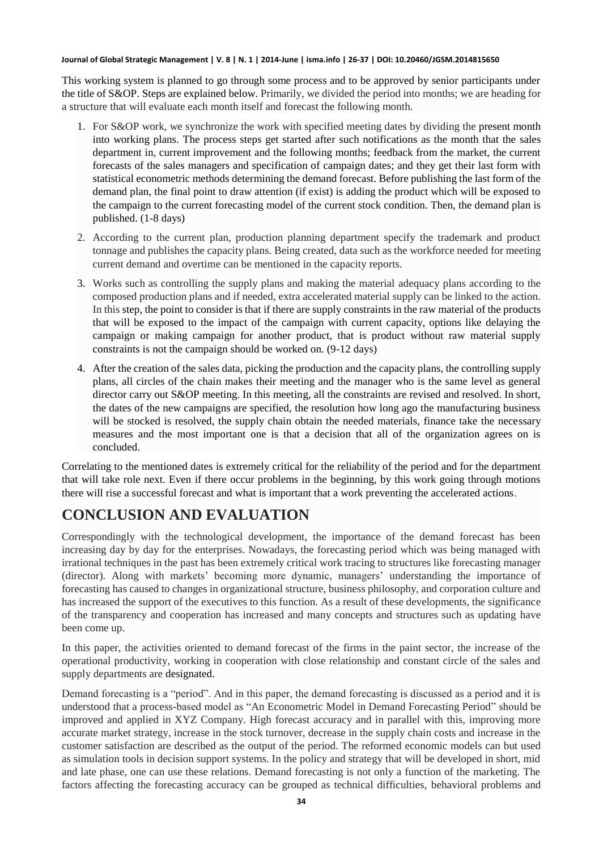This working system is planned to go through some process and to be approved by senior participants under the title of S&OP. Steps are explained below. Primarily, we divided the period into months; we are heading for a structure that will evaluate each month itself and forecast the following month.

- 1. For S&OP work, we synchronize the work with specified meeting dates by dividing the present month into working plans. The process steps get started after such notifications as the month that the sales department in, current improvement and the following months; feedback from the market, the current forecasts of the sales managers and specification of campaign dates; and they get their last form with statistical econometric methods determining the demand forecast. Before publishing the last form of the demand plan, the final point to draw attention (if exist) is adding the product which will be exposed to the campaign to the current forecasting model of the current stock condition. Then, the demand plan is published. (1-8 days)
- 2. According to the current plan, production planning department specify the trademark and product tonnage and publishes the capacity plans. Being created, data such as the workforce needed for meeting current demand and overtime can be mentioned in the capacity reports.
- 3. Works such as controlling the supply plans and making the material adequacy plans according to the composed production plans and if needed, extra accelerated material supply can be linked to the action. In this step, the point to consider is that if there are supply constraints in the raw material of the products that will be exposed to the impact of the campaign with current capacity, options like delaying the campaign or making campaign for another product, that is product without raw material supply constraints is not the campaign should be worked on. (9-12 days)
- 4. After the creation of the sales data, picking the production and the capacity plans, the controlling supply plans, all circles of the chain makes their meeting and the manager who is the same level as general director carry out S&OP meeting. In this meeting, all the constraints are revised and resolved. In short, the dates of the new campaigns are specified, the resolution how long ago the manufacturing business will be stocked is resolved, the supply chain obtain the needed materials, finance take the necessary measures and the most important one is that a decision that all of the organization agrees on is concluded.

Correlating to the mentioned dates is extremely critical for the reliability of the period and for the department that will take role next. Even if there occur problems in the beginning, by this work going through motions there will rise a successful forecast and what is important that a work preventing the accelerated actions.

## **CONCLUSION AND EVALUATION**

Correspondingly with the technological development, the importance of the demand forecast has been increasing day by day for the enterprises. Nowadays, the forecasting period which was being managed with irrational techniques in the past has been extremely critical work tracing to structures like forecasting manager (director). Along with markets' becoming more dynamic, managers' understanding the importance of forecasting has caused to changes in organizational structure, business philosophy, and corporation culture and has increased the support of the executives to this function. As a result of these developments, the significance of the transparency and cooperation has increased and many concepts and structures such as updating have been come up.

In this paper, the activities oriented to demand forecast of the firms in the paint sector, the increase of the operational productivity, working in cooperation with close relationship and constant circle of the sales and supply departments are designated.

Demand forecasting is a "period". And in this paper, the demand forecasting is discussed as a period and it is understood that a process-based model as "An Econometric Model in Demand Forecasting Period" should be improved and applied in XYZ Company. High forecast accuracy and in parallel with this, improving more accurate market strategy, increase in the stock turnover, decrease in the supply chain costs and increase in the customer satisfaction are described as the output of the period. The reformed economic models can but used as simulation tools in decision support systems. In the policy and strategy that will be developed in short, mid and late phase, one can use these relations. Demand forecasting is not only a function of the marketing. The factors affecting the forecasting accuracy can be grouped as technical difficulties, behavioral problems and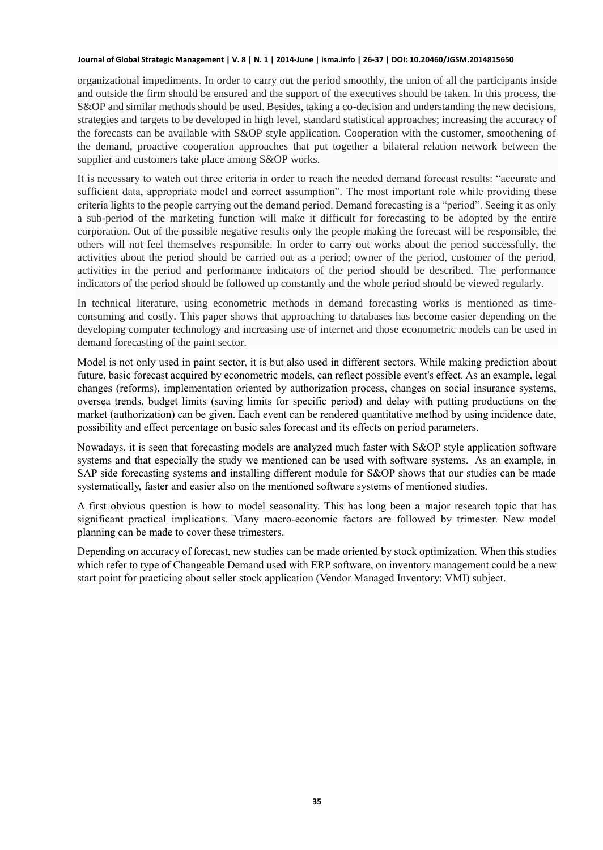organizational impediments. In order to carry out the period smoothly, the union of all the participants inside and outside the firm should be ensured and the support of the executives should be taken. In this process, the S&OP and similar methods should be used. Besides, taking a co-decision and understanding the new decisions, strategies and targets to be developed in high level, standard statistical approaches; increasing the accuracy of the forecasts can be available with S&OP style application. Cooperation with the customer, smoothening of the demand, proactive cooperation approaches that put together a bilateral relation network between the supplier and customers take place among S&OP works.

It is necessary to watch out three criteria in order to reach the needed demand forecast results: "accurate and sufficient data, appropriate model and correct assumption". The most important role while providing these criteria lights to the people carrying out the demand period. Demand forecasting is a "period". Seeing it as only a sub-period of the marketing function will make it difficult for forecasting to be adopted by the entire corporation. Out of the possible negative results only the people making the forecast will be responsible, the others will not feel themselves responsible. In order to carry out works about the period successfully, the activities about the period should be carried out as a period; owner of the period, customer of the period, activities in the period and performance indicators of the period should be described. The performance indicators of the period should be followed up constantly and the whole period should be viewed regularly.

In technical literature, using econometric methods in demand forecasting works is mentioned as timeconsuming and costly. This paper shows that approaching to databases has become easier depending on the developing computer technology and increasing use of internet and those econometric models can be used in demand forecasting of the paint sector.

Model is not only used in paint sector, it is but also used in different sectors. While making prediction about future, basic forecast acquired by econometric models, can reflect possible event's effect. As an example, legal changes (reforms), implementation oriented by authorization process, changes on social insurance systems, oversea trends, budget limits (saving limits for specific period) and delay with putting productions on the market (authorization) can be given. Each event can be rendered quantitative method by using incidence date, possibility and effect percentage on basic sales forecast and its effects on period parameters.

Nowadays, it is seen that forecasting models are analyzed much faster with S&OP style application software systems and that especially the study we mentioned can be used with software systems. As an example, in SAP side forecasting systems and installing different module for S&OP shows that our studies can be made systematically, faster and easier also on the mentioned software systems of mentioned studies.

A first obvious question is how to model seasonality. This has long been a major research topic that has significant practical implications. Many macro-economic factors are followed by trimester. New model planning can be made to cover these trimesters.

Depending on accuracy of forecast, new studies can be made oriented by stock optimization. When this studies which refer to type of Changeable Demand used with ERP software, on inventory management could be a new start point for practicing about seller stock application (Vendor Managed Inventory: VMI) subject.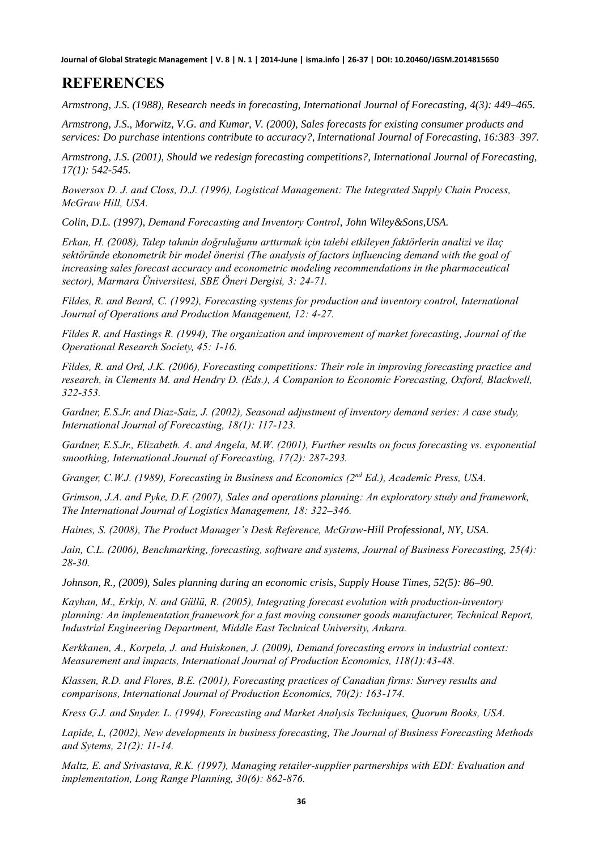### **REFERENCES**

*Armstrong, J.S. (1988), Research needs in forecasting, International Journal of Forecasting, 4(3): 449–465.* 

*Armstrong, J.S., Morwitz, V.G. and Kumar, V. (2000), Sales forecasts for existing consumer products and services: Do purchase intentions contribute to accuracy?, International Journal of Forecasting, 16:383–397.* 

*Armstrong, J.S. (2001), Should we redesign forecasting competitions?, International Journal of Forecasting, 17(1): 542-545.* 

*Bowersox D. J. and Closs, D.J. (1996), Logistical Management: The Integrated Supply Chain Process, McGraw Hill, USA.*

*Colin, D.L. (1997), Demand Forecasting and Inventory Control, John Wiley&Sons,USA.* 

*Erkan, H. (2008), Talep tahmin doğruluğunu arttırmak için talebi etkileyen faktörlerin analizi ve ilaç sektöründe ekonometrik bir model önerisi (The analysis of factors influencing demand with the goal of increasing sales forecast accuracy and econometric modeling recommendations in the pharmaceutical sector), Marmara Üniversitesi, SBE Öneri Dergisi, 3: 24-71.*

*Fildes, R. and Beard, C. (1992), Forecasting systems for production and inventory control, International Journal of Operations and Production Management, 12: 4-27.*

*Fildes R. and Hastings R. (1994), The organization and improvement of market forecasting, Journal of the Operational Research Society, 45: 1-16.*

*Fildes, R. and Ord, J.K. (2006), Forecasting competitions: Their role in improving forecasting practice and research, in Clements M. and Hendry D. (Eds.), A Companion to Economic Forecasting, Oxford, Blackwell, 322-353.*

*Gardner, E.S.Jr. and Diaz-Saiz, J. (2002), Seasonal adjustment of inventory demand series: A case study, International Journal of Forecasting, 18(1): 117-123.*

*Gardner, E.S.Jr., Elizabeth. A. and Angela, M.W. (2001), Further results on focus forecasting vs. exponential smoothing, International Journal of Forecasting, 17(2): 287-293.*

*Granger, C.W.J. (1989), Forecasting in Business and Economics (2nd Ed.), Academic Press, USA.*

*Grimson, J.A. and Pyke, D.F. (2007), Sales and operations planning: An exploratory study and framework, The International Journal of Logistics Management, 18: 322–346.* 

*Haines, S. (2008), The Product Manager's Desk Reference, McGraw-Hill Professional, NY, USA.* 

*Jain, C.L. (2006), Benchmarking, forecasting, software and systems, Journal of Business Forecasting, 25(4): 28-30.*

*Johnson, R., (2009), Sales planning during an economic crisis, Supply House Times, 52(5): 86–90.*

*Kayhan, M., Erkip, N. and Güllü, R. (2005), Integrating forecast evolution with production-inventory planning: An implementation framework for a fast moving consumer goods manufacturer, Technical Report, Industrial Engineering Department, Middle East Technical University, Ankara.*

*Kerkkanen, A., Korpela, J. and Huiskonen, J. (2009), Demand forecasting errors in industrial context: Measurement and impacts, International Journal of Production Economics, 118(1):43-48.*

*Klassen, R.D. and Flores, B.E. (2001), Forecasting practices of Canadian firms: Survey results and comparisons, International Journal of Production Economics, 70(2): 163-174.*

*Kress G.J. and Snyder. L. (1994), Forecasting and Market Analysis Techniques, Quorum Books, USA.*

*Lapide, L, (2002), New developments in business forecasting, The Journal of Business Forecasting Methods and Sytems, 21(2): 11-14.*

*Maltz, E. and Srivastava, R.K. (1997), Managing retailer-supplier partnerships with EDI: Evaluation and implementation, Long Range Planning, 30(6): 862-876.*